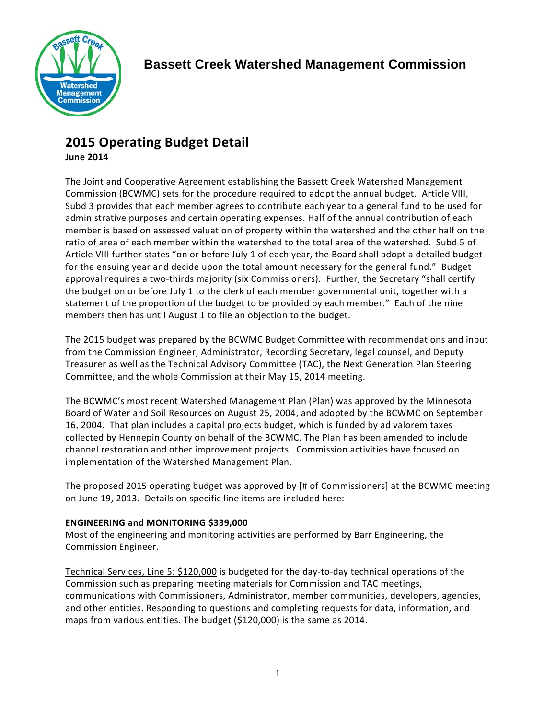

# **2015 Operating Budget Detail**

# **June 2014**

The Joint and Cooperative Agreement establishing the Bassett Creek Watershed Management Commission (BCWMC) sets for the procedure required to adopt the annual budget. Article VIII, Subd 3 provides that each member agrees to contribute each year to a general fund to be used for administrative purposes and certain operating expenses. Half of the annual contribution of each member is based on assessed valuation of property within the watershed and the other half on the ratio of area of each member within the watershed to the total area of the watershed. Subd 5 of Article VIII further states "on or before July 1 of each year, the Board shall adopt a detailed budget for the ensuing year and decide upon the total amount necessary for the general fund." Budget approval requires a two-thirds majority (six Commissioners). Further, the Secretary "shall certify the budget on or before July 1 to the clerk of each member governmental unit, together with a statement of the proportion of the budget to be provided by each member." Each of the nine members then has until August 1 to file an objection to the budget.

The 2015 budget was prepared by the BCWMC Budget Committee with recommendations and input from the Commission Engineer, Administrator, Recording Secretary, legal counsel, and Deputy Treasurer as well as the Technical Advisory Committee (TAC), the Next Generation Plan Steering Committee, and the whole Commission at their May 15, 2014 meeting.

The BCWMC's most recent Watershed Management Plan (Plan) was approved by the Minnesota Board of Water and Soil Resources on August 25, 2004, and adopted by the BCWMC on September 16, 2004. That plan includes a capital projects budget, which is funded by ad valorem taxes collected by Hennepin County on behalf of the BCWMC. The Plan has been amended to include channel restoration and other improvement projects. Commission activities have focused on implementation of the Watershed Management Plan.

The proposed 2015 operating budget was approved by [# of Commissioners] at the BCWMC meeting on June 19, 2013. Details on specific line items are included here:

## **ENGINEERING and MONITORING \$339,000**

Most of the engineering and monitoring activities are performed by Barr Engineering, the Commission Engineer.

Technical Services, Line 5: \$120,000 is budgeted for the day-to-day technical operations of the Commission such as preparing meeting materials for Commission and TAC meetings, communications with Commissioners, Administrator, member communities, developers, agencies, and other entities. Responding to questions and completing requests for data, information, and maps from various entities. The budget (\$120,000) is the same as 2014.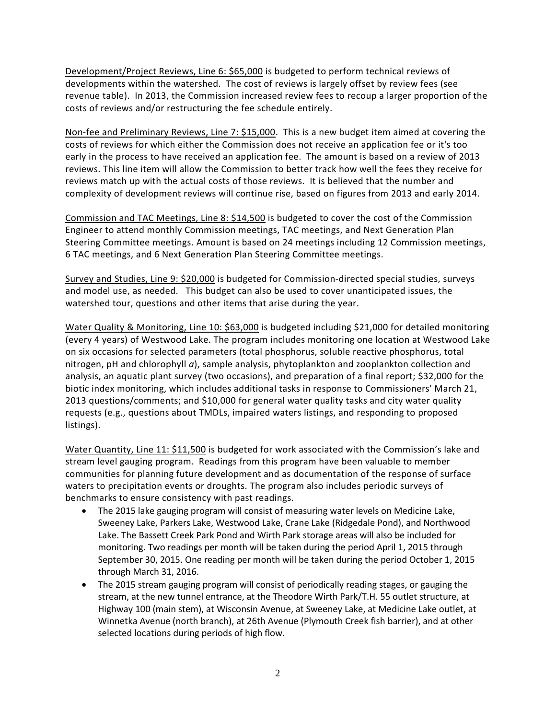Development/Project Reviews, Line 6: \$65,000 is budgeted to perform technical reviews of developments within the watershed. The cost of reviews is largely offset by review fees (see revenue table). In 2013, the Commission increased review fees to recoup a larger proportion of the costs of reviews and/or restructuring the fee schedule entirely.

Non-fee and Preliminary Reviews, Line 7: \$15,000. This is a new budget item aimed at covering the costs of reviews for which either the Commission does not receive an application fee or it's too early in the process to have received an application fee. The amount is based on a review of 2013 reviews. This line item will allow the Commission to better track how well the fees they receive for reviews match up with the actual costs of those reviews. It is believed that the number and complexity of development reviews will continue rise, based on figures from 2013 and early 2014.

Commission and TAC Meetings, Line 8: \$14,500 is budgeted to cover the cost of the Commission Engineer to attend monthly Commission meetings, TAC meetings, and Next Generation Plan Steering Committee meetings. Amount is based on 24 meetings including 12 Commission meetings, 6 TAC meetings, and 6 Next Generation Plan Steering Committee meetings.

Survey and Studies, Line 9: \$20,000 is budgeted for Commission-directed special studies, surveys and model use, as needed. This budget can also be used to cover unanticipated issues, the watershed tour, questions and other items that arise during the year.

Water Quality & Monitoring, Line 10: \$63,000 is budgeted including \$21,000 for detailed monitoring (every 4 years) of Westwood Lake. The program includes monitoring one location at Westwood Lake on six occasions for selected parameters (total phosphorus, soluble reactive phosphorus, total nitrogen, pH and chlorophyll *a*), sample analysis, phytoplankton and zooplankton collection and analysis, an aquatic plant survey (two occasions), and preparation of a final report; \$32,000 for the biotic index monitoring, which includes additional tasks in response to Commissioners' March 21, 2013 questions/comments; and \$10,000 for general water quality tasks and city water quality requests (e.g., questions about TMDLs, impaired waters listings, and responding to proposed listings).

Water Quantity, Line 11: \$11,500 is budgeted for work associated with the Commission's lake and stream level gauging program. Readings from this program have been valuable to member communities for planning future development and as documentation of the response of surface waters to precipitation events or droughts. The program also includes periodic surveys of benchmarks to ensure consistency with past readings.

- The 2015 lake gauging program will consist of measuring water levels on Medicine Lake, Sweeney Lake, Parkers Lake, Westwood Lake, Crane Lake (Ridgedale Pond), and Northwood Lake. The Bassett Creek Park Pond and Wirth Park storage areas will also be included for monitoring. Two readings per month will be taken during the period April 1, 2015 through September 30, 2015. One reading per month will be taken during the period October 1, 2015 through March 31, 2016.
- The 2015 stream gauging program will consist of periodically reading stages, or gauging the stream, at the new tunnel entrance, at the Theodore Wirth Park/T.H. 55 outlet structure, at Highway 100 (main stem), at Wisconsin Avenue, at Sweeney Lake, at Medicine Lake outlet, at Winnetka Avenue (north branch), at 26th Avenue (Plymouth Creek fish barrier), and at other selected locations during periods of high flow.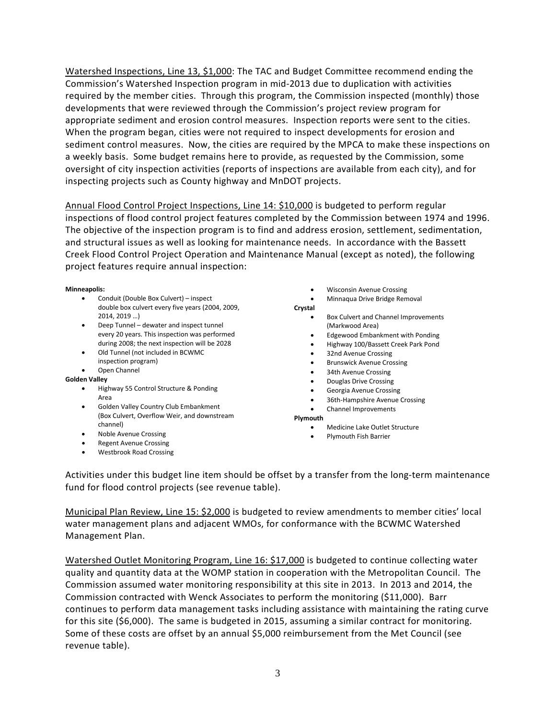Watershed Inspections, Line 13, \$1,000: The TAC and Budget Committee recommend ending the Commission's Watershed Inspection program in mid-2013 due to duplication with activities required by the member cities. Through this program, the Commission inspected (monthly) those developments that were reviewed through the Commission's project review program for appropriate sediment and erosion control measures. Inspection reports were sent to the cities. When the program began, cities were not required to inspect developments for erosion and sediment control measures. Now, the cities are required by the MPCA to make these inspections on a weekly basis. Some budget remains here to provide, as requested by the Commission, some oversight of city inspection activities (reports of inspections are available from each city), and for inspecting projects such as County highway and MnDOT projects.

Annual Flood Control Project Inspections, Line 14: \$10,000 is budgeted to perform regular inspections of flood control project features completed by the Commission between 1974 and 1996. The objective of the inspection program is to find and address erosion, settlement, sedimentation, and structural issues as well as looking for maintenance needs. In accordance with the Bassett Creek Flood Control Project Operation and Maintenance Manual (except as noted), the following project features require annual inspection:

**Minneapolis:**

- Conduit (Double Box Culvert) inspect double box culvert every five years (2004, 2009, 2014, 2019 …)
- Deep Tunnel dewater and inspect tunnel every 20 years. This inspection was performed during 2008; the next inspection will be 2028
- Old Tunnel (not included in BCWMC inspection program)
- Open Channel

#### **Golden Valley**

- Highway 55 Control Structure & Ponding Area
- Golden Valley Country Club Embankment (Box Culvert, Overflow Weir, and downstream channel)
- Noble Avenue Crossing
- Regent Avenue Crossing
- Westbrook Road Crossing
- Wisconsin Avenue Crossing
- Minnaqua Drive Bridge Removal

#### **Crystal**

- Box Culvert and Channel Improvements (Markwood Area)
- Edgewood Embankment with Ponding
- Highway 100/Bassett Creek Park Pond
- 32nd Avenue Crossing
- Brunswick Avenue Crossing
- 34th Avenue Crossing
- Douglas Drive Crossing
- Georgia Avenue Crossing
	- 36th-Hampshire Avenue Crossing
- Channel Improvements

**Plymouth**

- Medicine Lake Outlet Structure
- Plymouth Fish Barrier

Activities under this budget line item should be offset by a transfer from the long-term maintenance fund for flood control projects (see revenue table).

Municipal Plan Review, Line 15: \$2,000 is budgeted to review amendments to member cities' local water management plans and adjacent WMOs, for conformance with the BCWMC Watershed Management Plan.

Watershed Outlet Monitoring Program, Line 16: \$17,000 is budgeted to continue collecting water quality and quantity data at the WOMP station in cooperation with the Metropolitan Council. The Commission assumed water monitoring responsibility at this site in 2013. In 2013 and 2014, the Commission contracted with Wenck Associates to perform the monitoring (\$11,000). Barr continues to perform data management tasks including assistance with maintaining the rating curve for this site (\$6,000). The same is budgeted in 2015, assuming a similar contract for monitoring. Some of these costs are offset by an annual \$5,000 reimbursement from the Met Council (see revenue table).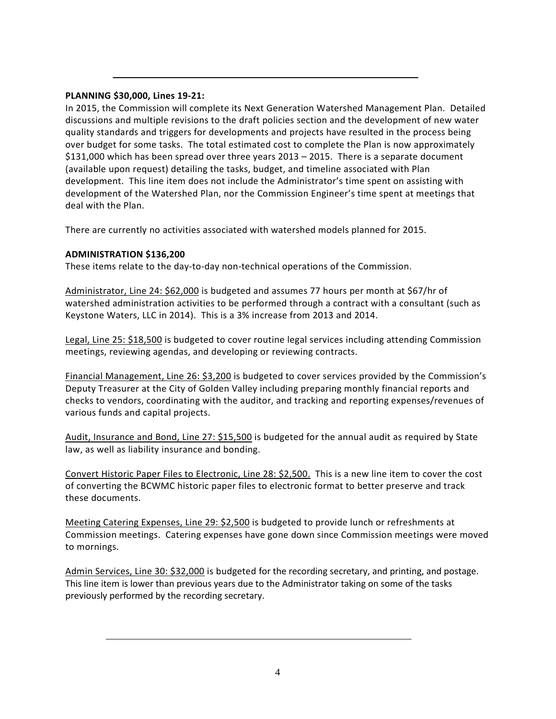#### **PLANNING \$30,000, Lines 19-21:**

In 2015, the Commission will complete its Next Generation Watershed Management Plan. Detailed discussions and multiple revisions to the draft policies section and the development of new water quality standards and triggers for developments and projects have resulted in the process being over budget for some tasks. The total estimated cost to complete the Plan is now approximately \$131,000 which has been spread over three years 2013 – 2015. There is a separate document (available upon request) detailing the tasks, budget, and timeline associated with Plan development. This line item does not include the Administrator's time spent on assisting with development of the Watershed Plan, nor the Commission Engineer's time spent at meetings that deal with the Plan.

There are currently no activities associated with watershed models planned for 2015.

### **ADMINISTRATION \$136,200**

These items relate to the day-to-day non-technical operations of the Commission.

Administrator, Line 24: \$62,000 is budgeted and assumes 77 hours per month at \$67/hr of watershed administration activities to be performed through a contract with a consultant (such as Keystone Waters, LLC in 2014). This is a 3% increase from 2013 and 2014.

Legal, Line 25: \$18,500 is budgeted to cover routine legal services including attending Commission meetings, reviewing agendas, and developing or reviewing contracts.

Financial Management, Line 26: \$3,200 is budgeted to cover services provided by the Commission's Deputy Treasurer at the City of Golden Valley including preparing monthly financial reports and checks to vendors, coordinating with the auditor, and tracking and reporting expenses/revenues of various funds and capital projects.

Audit, Insurance and Bond, Line 27: \$15,500 is budgeted for the annual audit as required by State law, as well as liability insurance and bonding.

Convert Historic Paper Files to Electronic, Line 28: \$2,500. This is a new line item to cover the cost of converting the BCWMC historic paper files to electronic format to better preserve and track these documents.

Meeting Catering Expenses, Line 29: \$2,500 is budgeted to provide lunch or refreshments at Commission meetings. Catering expenses have gone down since Commission meetings were moved to mornings.

Admin Services, Line 30: \$32,000 is budgeted for the recording secretary, and printing, and postage. This line item is lower than previous years due to the Administrator taking on some of the tasks previously performed by the recording secretary.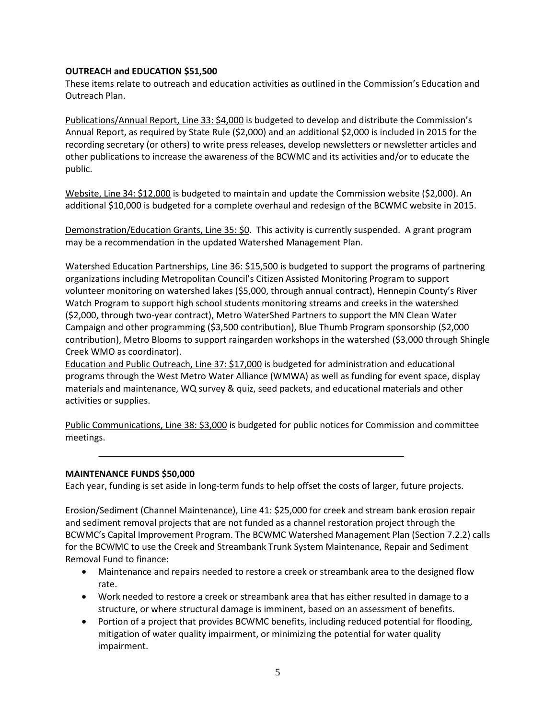#### **OUTREACH and EDUCATION \$51,500**

These items relate to outreach and education activities as outlined in the Commission's Education and Outreach Plan.

Publications/Annual Report, Line 33: \$4,000 is budgeted to develop and distribute the Commission's Annual Report, as required by State Rule (\$2,000) and an additional \$2,000 is included in 2015 for the recording secretary (or others) to write press releases, develop newsletters or newsletter articles and other publications to increase the awareness of the BCWMC and its activities and/or to educate the public.

Website, Line 34: \$12,000 is budgeted to maintain and update the Commission website (\$2,000). An additional \$10,000 is budgeted for a complete overhaul and redesign of the BCWMC website in 2015.

Demonstration/Education Grants, Line 35: \$0. This activity is currently suspended. A grant program may be a recommendation in the updated Watershed Management Plan.

Watershed Education Partnerships, Line 36: \$15,500 is budgeted to support the programs of partnering organizations including Metropolitan Council's Citizen Assisted Monitoring Program to support volunteer monitoring on watershed lakes (\$5,000, through annual contract), Hennepin County's River Watch Program to support high school students monitoring streams and creeks in the watershed (\$2,000, through two-year contract), Metro WaterShed Partners to support the MN Clean Water Campaign and other programming (\$3,500 contribution), Blue Thumb Program sponsorship (\$2,000 contribution), Metro Blooms to support raingarden workshops in the watershed (\$3,000 through Shingle Creek WMO as coordinator).

Education and Public Outreach, Line 37: \$17,000 is budgeted for administration and educational programs through the West Metro Water Alliance (WMWA) as well as funding for event space, display materials and maintenance, WQ survey & quiz, seed packets, and educational materials and other activities or supplies.

Public Communications, Line 38: \$3,000 is budgeted for public notices for Commission and committee meetings.

#### **MAINTENANCE FUNDS \$50,000**

Each year, funding is set aside in long-term funds to help offset the costs of larger, future projects.

Erosion/Sediment (Channel Maintenance), Line 41: \$25,000 for creek and stream bank erosion repair and sediment removal projects that are not funded as a channel restoration project through the BCWMC's Capital Improvement Program. The BCWMC Watershed Management Plan (Section 7.2.2) calls for the BCWMC to use the Creek and Streambank Trunk System Maintenance, Repair and Sediment Removal Fund to finance:

- Maintenance and repairs needed to restore a creek or streambank area to the designed flow rate.
- Work needed to restore a creek or streambank area that has either resulted in damage to a structure, or where structural damage is imminent, based on an assessment of benefits.
- Portion of a project that provides BCWMC benefits, including reduced potential for flooding, mitigation of water quality impairment, or minimizing the potential for water quality impairment.